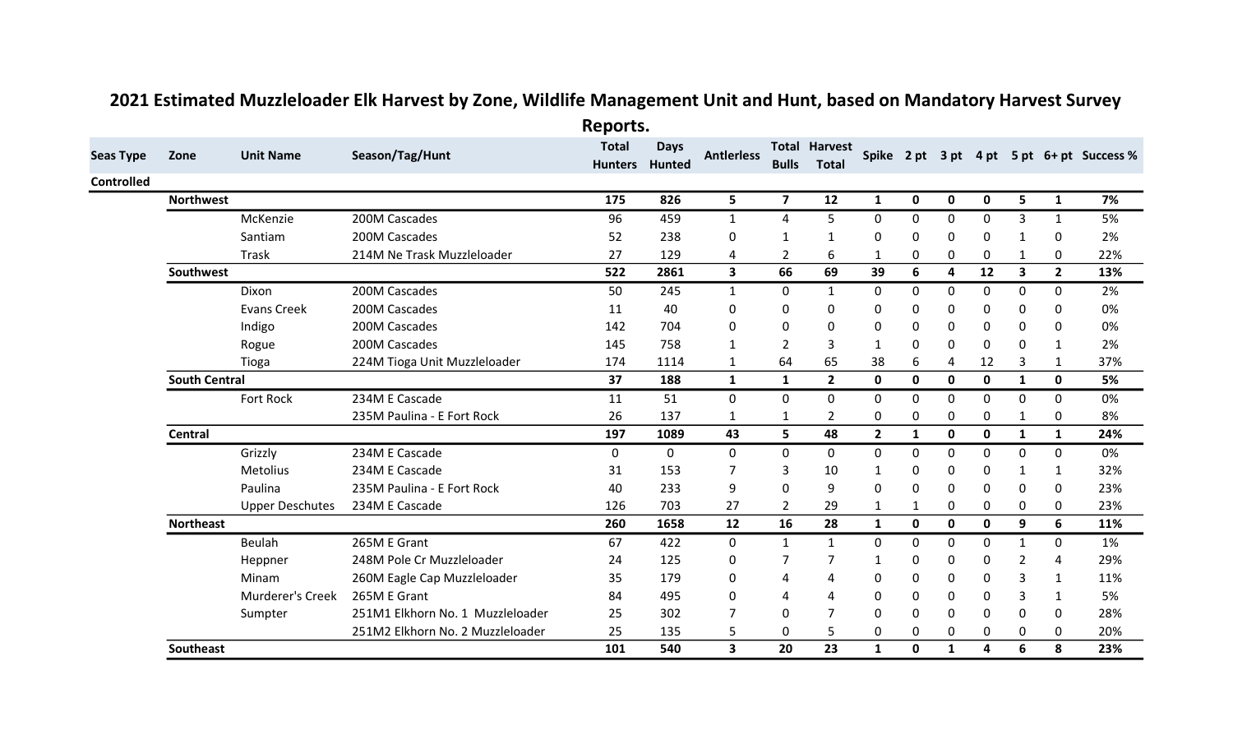|                   |                      |                        |                                  | Reports.                       |              |                         |                |                                      |              |              |                         |             |                         |                |                                           |
|-------------------|----------------------|------------------------|----------------------------------|--------------------------------|--------------|-------------------------|----------------|--------------------------------------|--------------|--------------|-------------------------|-------------|-------------------------|----------------|-------------------------------------------|
| <b>Seas Type</b>  | Zone                 | <b>Unit Name</b>       | Season/Tag/Hunt                  | <b>Total</b><br>Hunters Hunted | <b>Days</b>  | <b>Antlerless</b>       | <b>Bulls</b>   | <b>Total Harvest</b><br><b>Total</b> |              |              |                         |             |                         |                | Spike 2 pt 3 pt 4 pt 5 pt 6+ pt Success % |
| <b>Controlled</b> |                      |                        |                                  |                                |              |                         |                |                                      |              |              |                         |             |                         |                |                                           |
|                   | <b>Northwest</b>     |                        |                                  | 175                            | 826          | 5                       | $\overline{7}$ | 12                                   | $\mathbf{1}$ | $\mathbf 0$  | 0                       | $\mathbf 0$ | 5                       | $\mathbf{1}$   | 7%                                        |
|                   |                      | McKenzie               | 200M Cascades                    | 96                             | 459          | $\mathbf{1}$            | 4              | 5                                    | 0            | 0            | 0                       | $\Omega$    | 3                       | 1              | 5%                                        |
|                   |                      | Santiam                | 200M Cascades                    | 52                             | 238          | 0                       | $\mathbf{1}$   | 1                                    | O            | 0            | 0                       | 0           | $\mathbf 1$             | 0              | 2%                                        |
|                   |                      | Trask                  | 214M Ne Trask Muzzleloader       | 27                             | 129          | 4                       | $\overline{2}$ | 6                                    | 1            | 0            | 0                       | 0           | $\mathbf{1}$            | 0              | 22%                                       |
|                   | Southwest            |                        |                                  | 522                            | 2861         | $\overline{\mathbf{3}}$ | 66             | 69                                   | 39           | 6            | $\overline{\mathbf{4}}$ | 12          | $\overline{\mathbf{3}}$ | $\overline{2}$ | 13%                                       |
|                   |                      | Dixon                  | 200M Cascades                    | 50                             | 245          | 1                       | 0              | $\mathbf{1}$                         | 0            | 0            | 0                       | 0           | 0                       | 0              | 2%                                        |
|                   |                      | <b>Evans Creek</b>     | 200M Cascades                    | 11                             | 40           | 0                       | 0              | 0                                    | 0            | 0            | 0                       | 0           | 0                       | 0              | 0%                                        |
|                   |                      | Indigo                 | 200M Cascades                    | 142                            | 704          | 0                       | 0              | 0                                    | 0            | 0            | 0                       | 0           | 0                       | 0              | 0%                                        |
|                   |                      | Rogue                  | 200M Cascades                    | 145                            | 758          | 1                       | $\overline{2}$ | 3                                    | 1            | 0            | $\mathbf{0}$            | 0           | 0                       | 1              | 2%                                        |
|                   |                      | Tioga                  | 224M Tioga Unit Muzzleloader     | 174                            | 1114         | 1                       | 64             | 65                                   | 38           | 6            | 4                       | 12          | 3                       | 1              | 37%                                       |
|                   | <b>South Central</b> |                        |                                  | 37                             | 188          | $\mathbf{1}$            | $\mathbf{1}$   | $\overline{2}$                       | 0            | $\mathbf 0$  | $\mathbf 0$             | $\mathbf 0$ | $\mathbf{1}$            | $\mathbf 0$    | 5%                                        |
|                   |                      | Fort Rock              | 234M E Cascade                   | 11                             | 51           | $\mathbf 0$             | 0              | 0                                    | 0            | 0            | 0                       | 0           | 0                       | 0              | 0%                                        |
|                   |                      |                        | 235M Paulina - E Fort Rock       | 26                             | 137          | $\mathbf 1$             | 1              | $\overline{2}$                       | 0            | 0            | 0                       | 0           | 1                       | $\mathbf 0$    | 8%                                        |
|                   | Central              |                        |                                  | 197                            | 1089         | 43                      | 5              | 48                                   | $\mathbf{2}$ | $\mathbf{1}$ | $\mathbf 0$             | $\mathbf 0$ | $\mathbf{1}$            | $\mathbf{1}$   | 24%                                       |
|                   |                      | Grizzly                | 234M E Cascade                   | 0                              | $\mathbf{0}$ | $\mathbf{0}$            | 0              | 0                                    | 0            | 0            | 0                       | 0           | 0                       | 0              | 0%                                        |
|                   |                      | Metolius               | 234M E Cascade                   | 31                             | 153          | 7                       | 3              | 10                                   | 1            | 0            | 0                       | 0           | 1                       | 1              | 32%                                       |
|                   |                      | Paulina                | 235M Paulina - E Fort Rock       | 40                             | 233          | 9                       | 0              | 9                                    | 0            | 0            | $\mathbf{0}$            | 0           | 0                       | 0              | 23%                                       |
|                   |                      | <b>Upper Deschutes</b> | 234M E Cascade                   | 126                            | 703          | 27                      | $\overline{2}$ | 29                                   | 1            | 1            | 0                       | 0           | 0                       | 0              | 23%                                       |
|                   | <b>Northeast</b>     |                        |                                  | 260                            | 1658         | 12                      | 16             | 28                                   | $\mathbf{1}$ | $\mathbf 0$  | $\mathbf 0$             | $\mathbf 0$ | 9                       | 6              | 11%                                       |
|                   |                      | Beulah                 | 265M E Grant                     | 67                             | 422          | 0                       | $\mathbf{1}$   | $\mathbf{1}$                         | $\Omega$     | 0            | 0                       | $\mathbf 0$ | $\mathbf{1}$            | $\mathbf 0$    | 1%                                        |
|                   |                      | Heppner                | 248M Pole Cr Muzzleloader        | 24                             | 125          | 0                       | 7              | 7                                    | 1            | 0            | 0                       | 0           | $\overline{2}$          | 4              | 29%                                       |
|                   |                      | Minam                  | 260M Eagle Cap Muzzleloader      | 35                             | 179          | 0                       | 4              | 4                                    | 0            | 0            | 0                       | 0           | 3                       | 1              | 11%                                       |
|                   |                      | Murderer's Creek       | 265M E Grant                     | 84                             | 495          | 0                       | 4              | 4                                    | 0            | 0            | 0                       | 0           | 3                       | 1              | 5%                                        |
|                   |                      | Sumpter                | 251M1 Elkhorn No. 1 Muzzleloader | 25                             | 302          | 7                       | 0              | $\overline{7}$                       | 0            | 0            | 0                       | 0           | $\mathbf{0}$            | 0              | 28%                                       |
|                   |                      |                        | 251M2 Elkhorn No. 2 Muzzleloader | 25                             | 135          | 5                       | 0              | 5                                    | 0            | 0            | 0                       | 0           | 0                       | 0              | 20%                                       |
|                   | Southeast            |                        |                                  | 101                            | 540          | 3                       | 20             | 23                                   | $\mathbf{1}$ | $\mathbf 0$  | 1                       | 4           | 6                       | 8              | 23%                                       |

## 2021 Estimated Muzzleloader Elk Harvest by Zone, Wildlife Management Unit and Hunt, based on Mandatory Harvest Survey